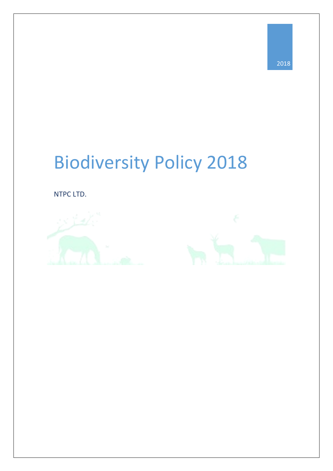# Biodiversity Policy 2018

NTPC LTD.



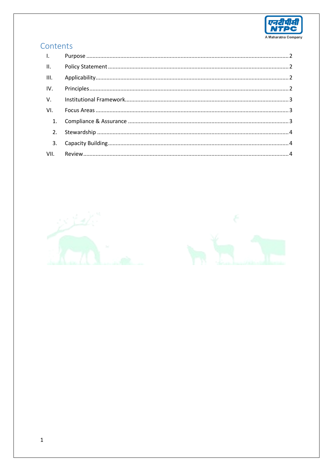

## Contents

| III. |  |
|------|--|
|      |  |
|      |  |
|      |  |
|      |  |
|      |  |
|      |  |
|      |  |



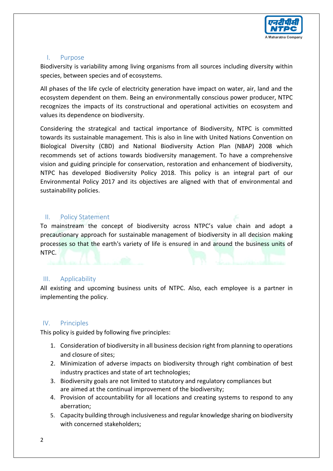

#### <span id="page-2-0"></span>I. Purpose

Biodiversity is variability among living organisms from all sources including diversity within species, between species and of ecosystems.

All phases of the life cycle of electricity generation have impact on water, air, land and the ecosystem dependent on them. Being an environmentally conscious power producer, NTPC recognizes the impacts of its constructional and operational activities on ecosystem and values its dependence on biodiversity.

Considering the strategical and tactical importance of Biodiversity, NTPC is committed towards its sustainable management. This is also in line with United Nations Convention on Biological Diversity (CBD) and National Biodiversity Action Plan (NBAP) 2008 which recommends set of actions towards biodiversity management. To have a comprehensive vision and guiding principle for conservation, restoration and enhancement of biodiversity, NTPC has developed Biodiversity Policy 2018. This policy is an integral part of our Environmental Policy 2017 and its objectives are aligned with that of environmental and sustainability policies.

#### <span id="page-2-1"></span>II. Policy Statement

To mainstream the concept of biodiversity across NTPC's value chain and adopt a precautionary approach for sustainable management of biodiversity in all decision making processes so that the earth's variety of life is ensured in and around the business units of NTPC.

#### <span id="page-2-2"></span>III. Applicability

All existing and upcoming business units of NTPC. Also, each employee is a partner in implementing the policy.

#### <span id="page-2-3"></span>IV. Principles

This policy is guided by following five principles:

- 1. Consideration of biodiversity in all business decision right from planning to operations and closure of sites;
- 2. Minimization of adverse impacts on biodiversity through right combination of best industry practices and state of art technologies;
- 3. Biodiversity goals are not limited to statutory and regulatory compliances but are aimed at the continual improvement of the biodiversity;
- 4. Provision of accountability for all locations and creating systems to respond to any aberration;
- 5. Capacity building through inclusiveness and regular knowledge sharing on biodiversity with concerned stakeholders;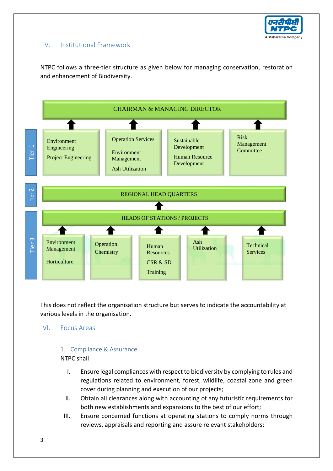

### <span id="page-3-0"></span>V. Institutional Framework

NTPC follows a three-tier structure as given below for managing conservation, restoration and enhancement of Biodiversity.



This does not reflect the organisation structure but serves to indicate the accountability at various levels in the organisation.

#### <span id="page-3-1"></span>VI. Focus Areas

#### <span id="page-3-2"></span>1. Compliance & Assurance

NTPC shall

- I. Ensure legal compliances with respect to biodiversity by complying to rules and regulations related to environment, forest, wildlife, coastal zone and green cover during planning and execution of our projects;
- II. Obtain all clearances along with accounting of any futuristic requirements for both new establishments and expansions to the best of our effort;
- III. Ensure concerned functions at operating stations to comply norms through reviews, appraisals and reporting and assure relevant stakeholders;